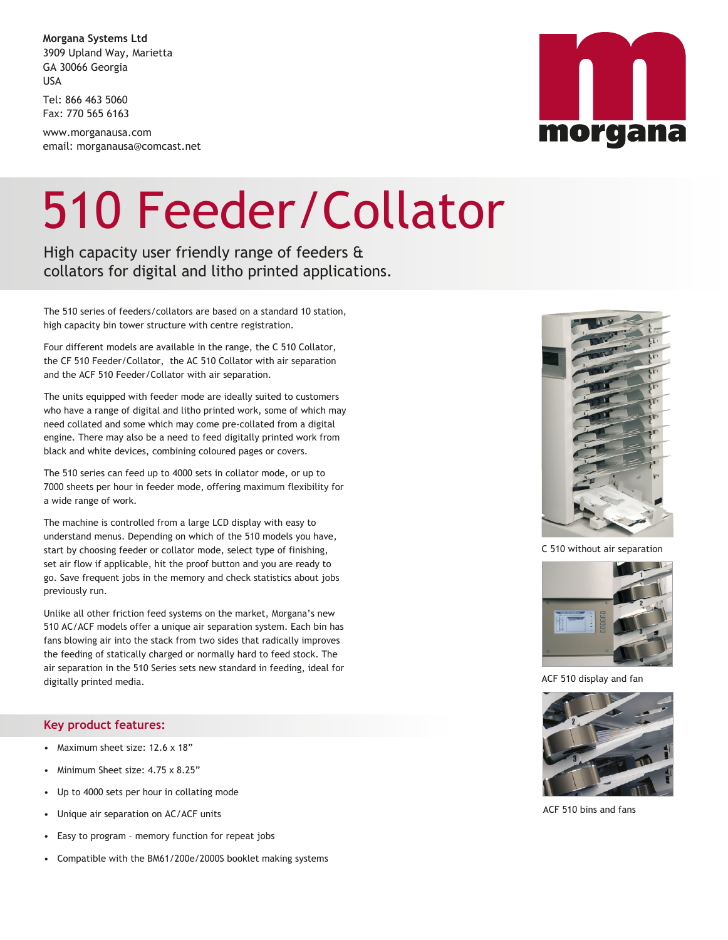**Morgana Systems Ltd** 3909 Upland Way, Marietta GA 30066 Georgia USA

Tel: 866 463 5060 Fax: 770 565 6163

www.morganausa.com email: morganausa@comcast.net

## 510 Feeder/Collator

High capacity user friendly range of feeders & collators for digital and litho printed applications.

The 510 series of feeders/collators are based on a standard 10 station, high capacity bin tower structure with centre registration.

Four different models are available in the range, the C 510 Collator, the CF 510 Feeder/Collator, the AC 510 Collator with air separation and the ACF 510 Feeder/Collator with air separation.

The units equipped with feeder mode are ideally suited to customers who have a range of digital and litho printed work, some of which may need collated and some which may come pre-collated from a digital engine. There may also be a need to feed digitally printed work from black and white devices, combining coloured pages or covers.

The 510 series can feed up to 4000 sets in collator mode, or up to 7000 sheets per hour in feeder mode, offering maximum flexibility for a wide range of work.

The machine is controlled from a large LCD display with easy to understand menus. Depending on which of the 510 models you have, start by choosing feeder or collator mode, select type of finishing, set air flow if applicable, hit the proof button and you are ready to go. Save frequent jobs in the memory and check statistics about jobs previously run.

Unlike all other friction feed systems on the market, Morgana's new 510 AC/ACF models offer a unique air separation system. Each bin has fans blowing air into the stack from two sides that radically improves the feeding of statically charged or normally hard to feed stock. The air separation in the 510 Series sets new standard in feeding, ideal for digitally printed media.

## **Key product features:**

- Maximum sheet size: 12.6 x 18"
- Minimum Sheet size: 4.75 x 8.25"
- Up to 4000 sets per hour in collating mode
- Unique air separation on AC/ACF units
- Easy to program memory function for repeat jobs
- Compatible with the BM61/200e/2000S booklet making systems



C 510 without air separation



ACF 510 display and fan



ACF 510 bins and fans